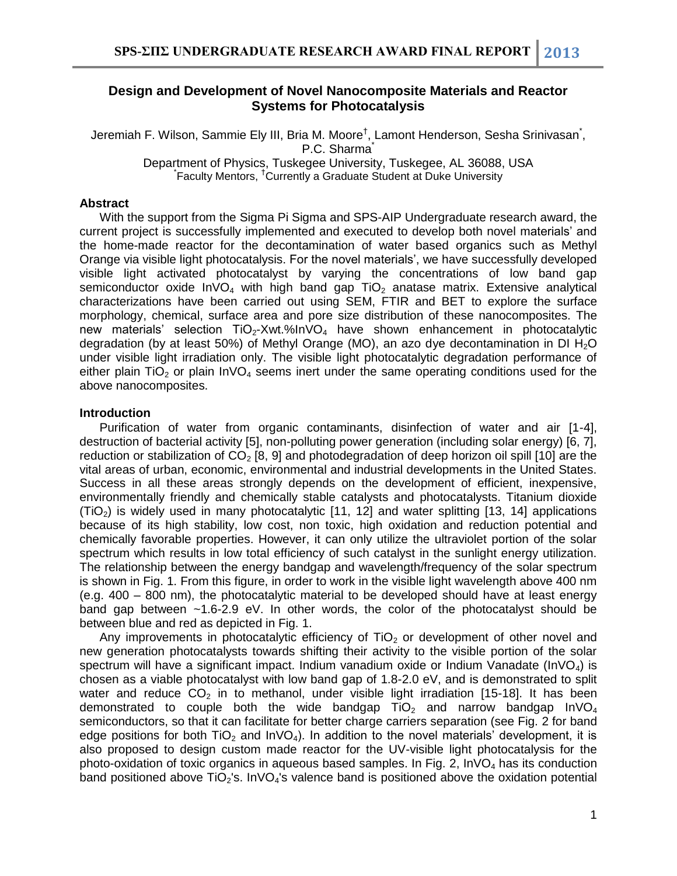## **Design and Development of Novel Nanocomposite Materials and Reactor Systems for Photocatalysis**

Jeremiah F. Wilson, Sammie Ely III, Bria M. Moore<sup>†</sup>, Lamont Henderson, Sesha Srinivasan<sup>\*</sup>, P.C. Sharma<sup>\*</sup> Department of Physics, Tuskegee University, Tuskegee, AL 36088, USA \* Faculty Mentors, †Currently a Graduate Student at Duke University

### **Abstract**

With the support from the Sigma Pi Sigma and SPS-AIP Undergraduate research award, the current project is successfully implemented and executed to develop both novel materials' and the home-made reactor for the decontamination of water based organics such as Methyl Orange via visible light photocatalysis. For the novel materials', we have successfully developed visible light activated photocatalyst by varying the concentrations of low band gap semiconductor oxide  $InvO<sub>4</sub>$  with high band gap TiO<sub>2</sub> anatase matrix. Extensive analytical characterizations have been carried out using SEM, FTIR and BET to explore the surface morphology, chemical, surface area and pore size distribution of these nanocomposites. The new materials' selection  $TiO<sub>2</sub>-Xwt.<sub>%</sub> In VO<sub>4</sub> have shown enhancement in photocatalytic$ degradation (by at least 50%) of Methyl Orange (MO), an azo dye decontamination in DI  $H_2O$ under visible light irradiation only. The visible light photocatalytic degradation performance of either plain TiO<sub>2</sub> or plain  $InvO<sub>4</sub>$  seems inert under the same operating conditions used for the above nanocomposites.

#### **Introduction**

Purification of water from organic contaminants, disinfection of water and air [1-4], destruction of bacterial activity [5], non-polluting power generation (including solar energy) [6, 7], reduction or stabilization of  $CO<sub>2</sub>$  [8, 9] and photodegradation of deep horizon oil spill [10] are the vital areas of urban, economic, environmental and industrial developments in the United States. Success in all these areas strongly depends on the development of efficient, inexpensive, environmentally friendly and chemically stable catalysts and photocatalysts. Titanium dioxide  $(TiO<sub>2</sub>)$  is widely used in many photocatalytic [11, 12] and water splitting [13, 14] applications because of its high stability, low cost, non toxic, high oxidation and reduction potential and chemically favorable properties. However, it can only utilize the ultraviolet portion of the solar spectrum which results in low total efficiency of such catalyst in the sunlight energy utilization. The relationship between the energy bandgap and wavelength/frequency of the solar spectrum is shown in Fig. 1. From this figure, in order to work in the visible light wavelength above 400 nm (e.g. 400 – 800 nm), the photocatalytic material to be developed should have at least energy band gap between ~1.6-2.9 eV. In other words, the color of the photocatalyst should be between blue and red as depicted in Fig. 1.

Any improvements in photocatalytic efficiency of  $TiO<sub>2</sub>$  or development of other novel and new generation photocatalysts towards shifting their activity to the visible portion of the solar spectrum will have a significant impact. Indium vanadium oxide or Indium Vanadate (InVO<sub>4</sub>) is chosen as a viable photocatalyst with low band gap of 1.8-2.0 eV, and is demonstrated to split water and reduce  $CO<sub>2</sub>$  in to methanol, under visible light irradiation [15-18]. It has been demonstrated to couple both the wide bandgap  $TiO<sub>2</sub>$  and narrow bandgap  $InVO<sub>4</sub>$ semiconductors, so that it can facilitate for better charge carriers separation (see Fig. 2 for band edge positions for both  $TiO<sub>2</sub>$  and  $InVO<sub>4</sub>$ ). In addition to the novel materials' development, it is also proposed to design custom made reactor for the UV-visible light photocatalysis for the photo-oxidation of toxic organics in aqueous based samples. In Fig. 2,  $\text{InvO}_4$  has its conduction band positioned above  $TiO<sub>2</sub>'s$ . InVO<sub>4</sub>'s valence band is positioned above the oxidation potential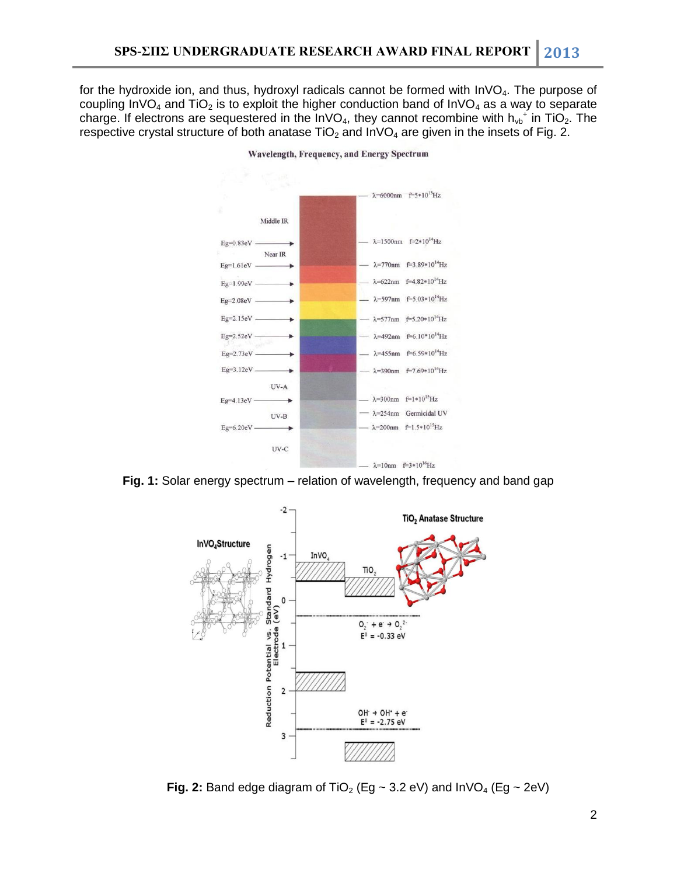for the hydroxide ion, and thus, hydroxyl radicals cannot be formed with  $InVO<sub>4</sub>$ . The purpose of coupling InVO<sub>4</sub> and TiO<sub>2</sub> is to exploit the higher conduction band of InVO<sub>4</sub> as a way to separate charge. If electrons are sequestered in the InVO<sub>4</sub>, they cannot recombine with  $h_{vb}^+$  in TiO<sub>2</sub>. The respective crystal structure of both anatase  $TiO<sub>2</sub>$  and  $InVO<sub>4</sub>$  are given in the insets of Fig. 2.



Wavelength, Frequency, and Energy Spectrum

**Fig. 1:** Solar energy spectrum – relation of wavelength, frequency and band gap



**Fig. 2:** Band edge diagram of TiO<sub>2</sub> (Eg  $\sim$  3.2 eV) and InVO<sub>4</sub> (Eg  $\sim$  2eV)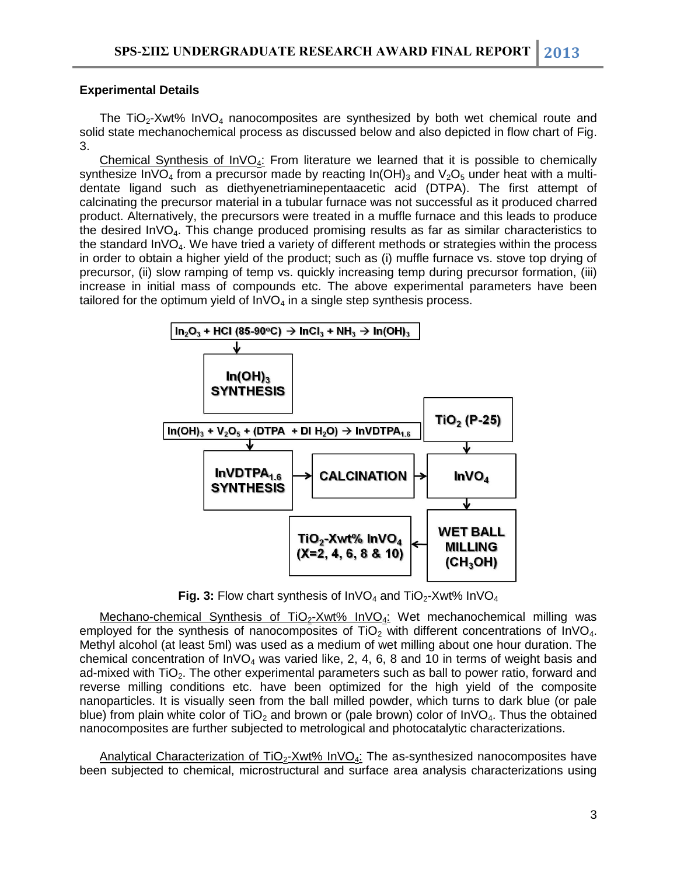### **Experimental Details**

The TiO<sub>2</sub>-Xwt% InVO<sub>4</sub> nanocomposites are synthesized by both wet chemical route and solid state mechanochemical process as discussed below and also depicted in flow chart of Fig. 3.

Chemical Synthesis of  $InvO<sub>4</sub>$ : From literature we learned that it is possible to chemically synthesize InVO<sub>4</sub> from a precursor made by reacting  $In(OH)_3$  and  $V_2O_5$  under heat with a multidentate ligand such as diethyenetriaminepentaacetic acid (DTPA). The first attempt of calcinating the precursor material in a tubular furnace was not successful as it produced charred product. Alternatively, the precursors were treated in a muffle furnace and this leads to produce the desired  $\text{InVO}_4$ . This change produced promising results as far as similar characteristics to the standard  $InVO<sub>4</sub>$ . We have tried a variety of different methods or strategies within the process in order to obtain a higher yield of the product; such as (i) muffle furnace vs. stove top drying of precursor, (ii) slow ramping of temp vs. quickly increasing temp during precursor formation, (iii) increase in initial mass of compounds etc. The above experimental parameters have been tailored for the optimum yield of  $InVO<sub>4</sub>$  in a single step synthesis process.



**Fig. 3:** Flow chart synthesis of  $InvO<sub>4</sub>$  and  $TIO<sub>2</sub>$ -Xwt%  $InvO<sub>4</sub>$ 

Mechano-chemical Synthesis of TiO<sub>2</sub>-Xwt% InVO<sub>4</sub>: Wet mechanochemical milling was employed for the synthesis of nanocomposites of  $TiO<sub>2</sub>$  with different concentrations of InVO<sub>4</sub>. Methyl alcohol (at least 5ml) was used as a medium of wet milling about one hour duration. The chemical concentration of  $InVO<sub>4</sub>$  was varied like, 2, 4, 6, 8 and 10 in terms of weight basis and ad-mixed with  $TiO<sub>2</sub>$ . The other experimental parameters such as ball to power ratio, forward and reverse milling conditions etc. have been optimized for the high yield of the composite nanoparticles. It is visually seen from the ball milled powder, which turns to dark blue (or pale blue) from plain white color of TiO<sub>2</sub> and brown or (pale brown) color of  $\ln VQ_4$ . Thus the obtained nanocomposites are further subjected to metrological and photocatalytic characterizations.

Analytical Characterization of  $TiO<sub>2</sub>$ -Xwt% InVO<sub>4</sub>: The as-synthesized nanocomposites have been subjected to chemical, microstructural and surface area analysis characterizations using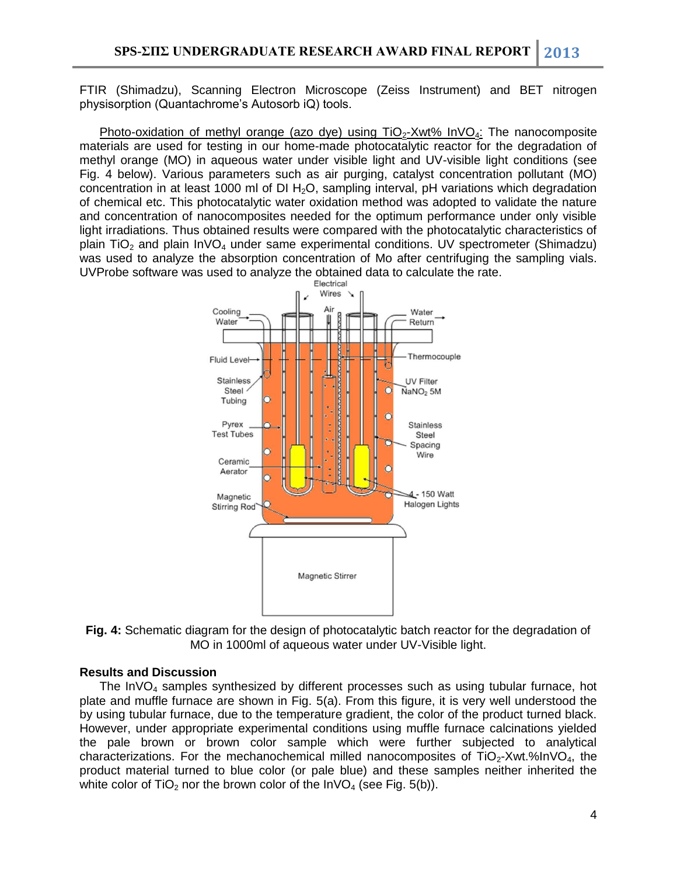FTIR (Shimadzu), Scanning Electron Microscope (Zeiss Instrument) and BET nitrogen physisorption (Quantachrome's Autosorb iQ) tools.

Photo-oxidation of methyl orange (azo dye) using  $TiO<sub>2</sub>-Xwt%$  InVO<sub>4</sub>: The nanocomposite materials are used for testing in our home-made photocatalytic reactor for the degradation of methyl orange (MO) in aqueous water under visible light and UV-visible light conditions (see Fig. 4 below). Various parameters such as air purging, catalyst concentration pollutant (MO) concentration in at least 1000 ml of DI  $H_2O$ , sampling interval, pH variations which degradation of chemical etc. This photocatalytic water oxidation method was adopted to validate the nature and concentration of nanocomposites needed for the optimum performance under only visible light irradiations. Thus obtained results were compared with the photocatalytic characteristics of plain TiO<sub>2</sub> and plain  $InvO<sub>4</sub>$  under same experimental conditions. UV spectrometer (Shimadzu) was used to analyze the absorption concentration of Mo after centrifuging the sampling vials. UVProbe software was used to analyze the obtained data to calculate the rate.



**Fig. 4:** Schematic diagram for the design of photocatalytic batch reactor for the degradation of MO in 1000ml of aqueous water under UV-Visible light.

### **Results and Discussion**

The  $InVO<sub>4</sub>$  samples synthesized by different processes such as using tubular furnace, hot plate and muffle furnace are shown in Fig. 5(a). From this figure, it is very well understood the by using tubular furnace, due to the temperature gradient, the color of the product turned black. However, under appropriate experimental conditions using muffle furnace calcinations yielded the pale brown or brown color sample which were further subjected to analytical characterizations. For the mechanochemical milled nanocomposites of  $TiO<sub>2</sub>-Xwt.$ %InV $O<sub>4</sub>$ , the product material turned to blue color (or pale blue) and these samples neither inherited the white color of  $TiO<sub>2</sub>$  nor the brown color of the  $InVO<sub>4</sub>$  (see Fig. 5(b)).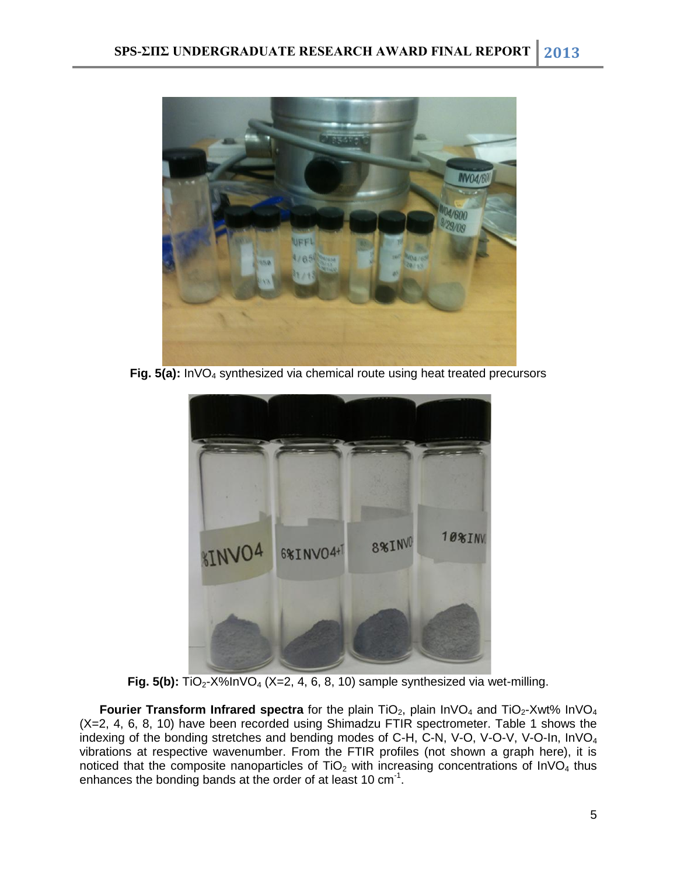

**Fig. 5(a):** InVO<sup>4</sup> synthesized via chemical route using heat treated precursors



**Fig. 5(b):**  $TiO_2$ -X%InVO<sub>4</sub> (X=2, 4, 6, 8, 10) sample synthesized via wet-milling.

**Fourier Transform Infrared spectra** for the plain TiO<sub>2</sub>, plain  $InvO<sub>4</sub>$  and  $TIO<sub>2</sub>$ -Xwt% InVO<sub>4</sub> (X=2, 4, 6, 8, 10) have been recorded using Shimadzu FTIR spectrometer. Table 1 shows the indexing of the bonding stretches and bending modes of C-H, C-N, V-O, V-O-V, V-O-In,  $InVO<sub>4</sub>$ vibrations at respective wavenumber. From the FTIR profiles (not shown a graph here), it is noticed that the composite nanoparticles of  $TiO<sub>2</sub>$  with increasing concentrations of InVO<sub>4</sub> thus enhances the bonding bands at the order of at least 10 cm $^{-1}$ .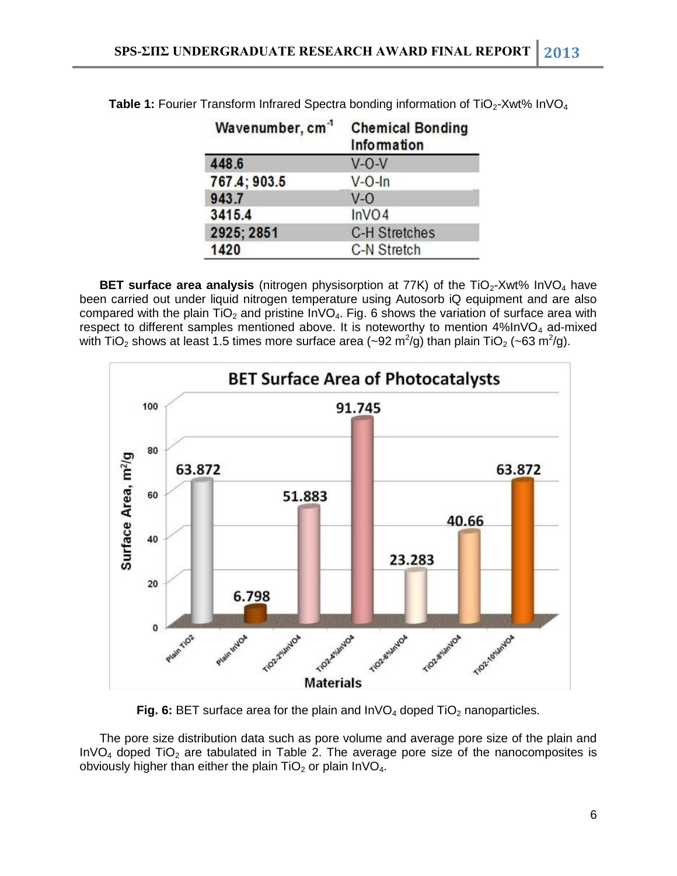| Wavenumber, cm <sup>-1</sup> | <b>Chemical Bonding</b><br>Information |  |
|------------------------------|----------------------------------------|--|
| 448.6                        | $V-O-V$                                |  |
| 767.4; 903.5                 | $V$ -O-In                              |  |
| 943.7                        | $V - O$                                |  |
| 3415.4                       | InVO4                                  |  |
| 2925; 2851                   | <b>C-H Stretches</b>                   |  |
| 1420                         | <b>C-N Stretch</b>                     |  |

**Table 1:** Fourier Transform Infrared Spectra bonding information of TiO<sub>2</sub>-Xwt% InVO<sub>4</sub>

**BET surface area analysis** (nitrogen physisorption at 77K) of the TiO<sub>2</sub>-Xwt% InVO<sub>4</sub> have been carried out under liquid nitrogen temperature using Autosorb iQ equipment and are also compared with the plain  $TiO<sub>2</sub>$  and pristine InVO<sub>4</sub>. Fig. 6 shows the variation of surface area with respect to different samples mentioned above. It is noteworthy to mention  $4\%$ InVO<sub>4</sub> ad-mixed with TiO<sub>2</sub> shows at least 1.5 times more surface area (~92 m<sup>2</sup>/g) than plain TiO<sub>2</sub> (~63 m<sup>2</sup>/g).



**Fig. 6:** BET surface area for the plain and  $\text{InvO}_4$  doped  $\text{TiO}_2$  nanoparticles.

The pore size distribution data such as pore volume and average pore size of the plain and InVO<sub>4</sub> doped TiO<sub>2</sub> are tabulated in Table 2. The average pore size of the nanocomposites is obviously higher than either the plain  $TiO<sub>2</sub>$  or plain  $InVO<sub>4</sub>$ .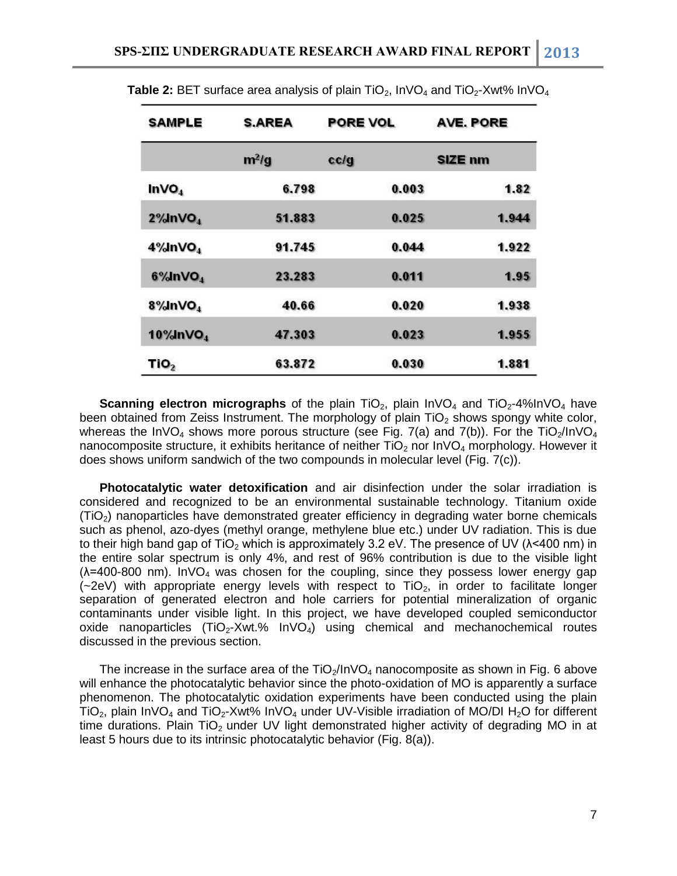| SAMPLE                   | <b>S.AREA</b> | PORE VOL | AVE. PORE |
|--------------------------|---------------|----------|-----------|
|                          | $m^2/g$       | cc/g     | SIZE nm   |
| INVO <sub>4</sub>        | 6.798         | 0.003    | 1.82      |
| $2\%$ InVO <sub>4</sub>  | 51.883        | 0.025    | 1.944     |
| 4%InVO <sub>4</sub>      | 91.745        | 0.044    | 1.922     |
| $6\%$ InVO <sub>4</sub>  | 23.283        | 0.011    | 1.95      |
| 8%InVO <sub>4</sub>      | 40.66         | 0.020    | 1.938     |
| $10\%$ InVO <sub>4</sub> | 47.303        | 0.023    | 1.955     |
| TiO <sub>2</sub>         | 63.872        | 0.030    | 1.881     |

**Table 2: BET** surface area analysis of plain TiO<sub>2</sub>, InVO<sub>4</sub> and TiO<sub>2</sub>-Xwt% InVO<sub>4</sub>

**Scanning electron micrographs** of the plain TiO<sub>2</sub>, plain InVO<sub>4</sub> and TiO<sub>2</sub>-4%InVO<sub>4</sub> have been obtained from Zeiss Instrument. The morphology of plain  $TiO<sub>2</sub>$  shows spongy white color, whereas the InVO<sub>4</sub> shows more porous structure (see Fig. 7(a) and 7(b)). For the TiO<sub>2</sub>/InVO<sub>4</sub> nanocomposite structure, it exhibits heritance of neither  $TiO<sub>2</sub>$  nor  $InVO<sub>4</sub>$  morphology. However it does shows uniform sandwich of the two compounds in molecular level (Fig. 7(c)).

**Photocatalytic water detoxification** and air disinfection under the solar irradiation is considered and recognized to be an environmental sustainable technology. Titanium oxide  $(TiO<sub>2</sub>)$  nanoparticles have demonstrated greater efficiency in degrading water borne chemicals such as phenol, azo-dyes (methyl orange, methylene blue etc.) under UV radiation. This is due to their high band gap of TiO<sub>2</sub> which is approximately 3.2 eV. The presence of UV ( $\lambda$ <400 nm) in the entire solar spectrum is only 4%, and rest of 96% contribution is due to the visible light  $(\lambda=400-800 \text{ nm})$ . InVO<sub>4</sub> was chosen for the coupling, since they possess lower energy gap  $(-2eV)$  with appropriate energy levels with respect to TiO<sub>2</sub>, in order to facilitate longer separation of generated electron and hole carriers for potential mineralization of organic contaminants under visible light. In this project, we have developed coupled semiconductor oxide nanoparticles (TiO<sub>2</sub>-Xwt.%  $InvO<sub>4</sub>$ ) using chemical and mechanochemical routes discussed in the previous section.

The increase in the surface area of the  $TiO_2/InVO_4$  nanocomposite as shown in Fig. 6 above will enhance the photocatalytic behavior since the photo-oxidation of MO is apparently a surface phenomenon. The photocatalytic oxidation experiments have been conducted using the plain TiO<sub>2</sub>, plain InVO<sub>4</sub> and TiO<sub>2</sub>-Xwt% InVO<sub>4</sub> under UV-Visible irradiation of MO/DI H<sub>2</sub>O for different time durations. Plain TiO<sub>2</sub> under UV light demonstrated higher activity of degrading MO in at least 5 hours due to its intrinsic photocatalytic behavior (Fig. 8(a)).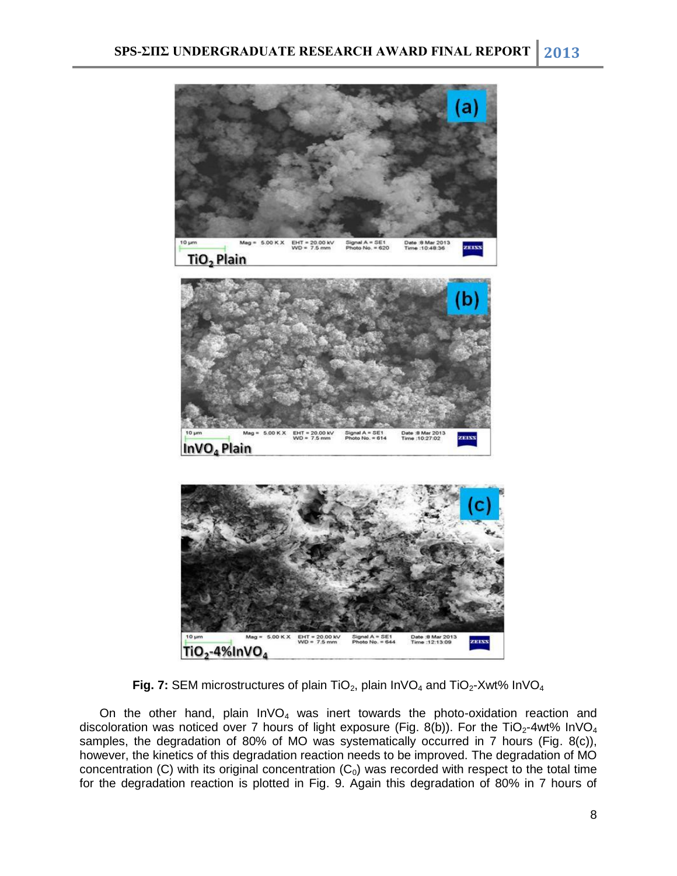

**Fig. 7: SEM microstructures of plain TiO<sub>2</sub>, plain InVO<sub>4</sub> and TiO<sub>2</sub>-Xwt% InVO<sub>4</sub>** 

On the other hand, plain  $InvO<sub>4</sub>$  was inert towards the photo-oxidation reaction and discoloration was noticed over 7 hours of light exposure (Fig. 8(b)). For the TiO<sub>2</sub>-4wt% InVO<sub>4</sub> samples, the degradation of 80% of MO was systematically occurred in 7 hours (Fig. 8(c)), however, the kinetics of this degradation reaction needs to be improved. The degradation of MO concentration (C) with its original concentration  $(C_0)$  was recorded with respect to the total time for the degradation reaction is plotted in Fig. 9. Again this degradation of 80% in 7 hours of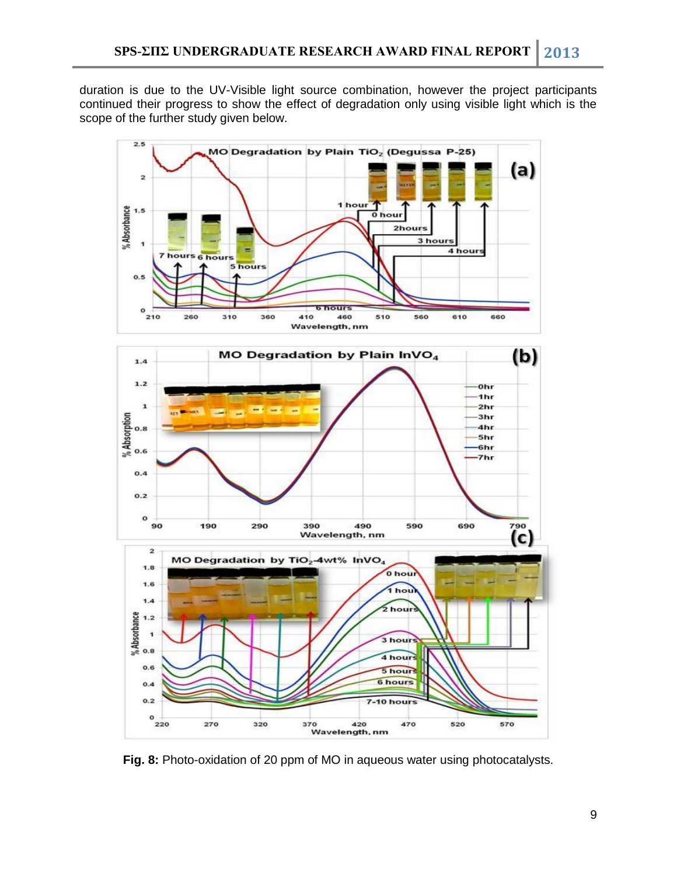duration is due to the UV-Visible light source combination, however the project participants continued their progress to show the effect of degradation only using visible light which is the scope of the further study given below.



**Fig. 8:** Photo-oxidation of 20 ppm of MO in aqueous water using photocatalysts.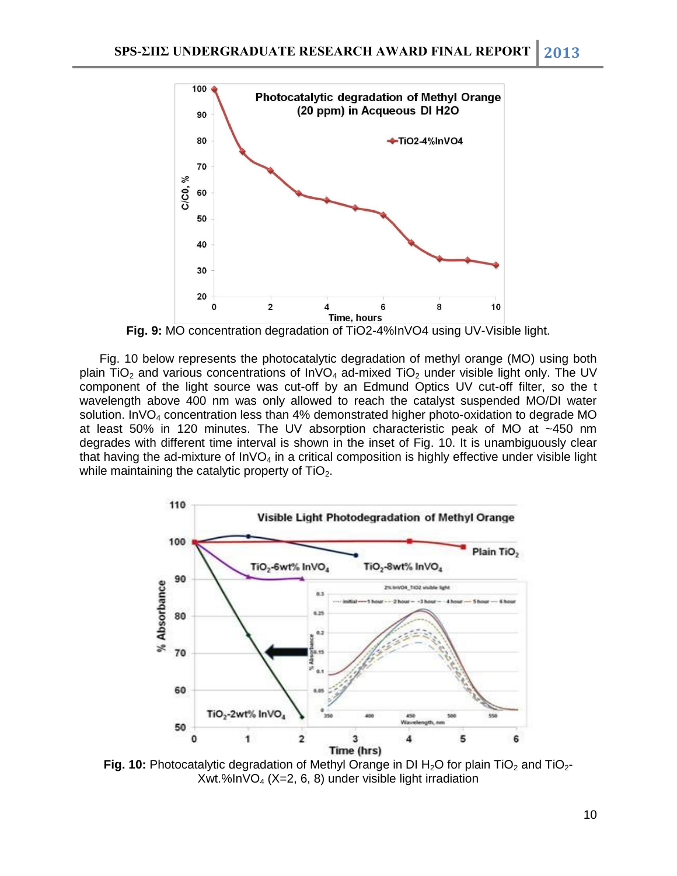

**Fig. 9:** MO concentration degradation of TiO2-4%InVO4 using UV-Visible light.

Fig. 10 below represents the photocatalytic degradation of methyl orange (MO) using both plain TiO<sub>2</sub> and various concentrations of  $InVO<sub>4</sub>$  ad-mixed TiO<sub>2</sub> under visible light only. The UV component of the light source was cut-off by an Edmund Optics UV cut-off filter, so the t wavelength above 400 nm was only allowed to reach the catalyst suspended MO/DI water solution. InVO<sub>4</sub> concentration less than 4% demonstrated higher photo-oxidation to degrade MO at least 50% in 120 minutes. The UV absorption characteristic peak of MO at ~450 nm degrades with different time interval is shown in the inset of Fig. 10. It is unambiguously clear that having the ad-mixture of  $InVO<sub>4</sub>$  in a critical composition is highly effective under visible light while maintaining the catalytic property of  $TiO<sub>2</sub>$ .



**Fig. 10:** Photocatalytic degradation of Methyl Orange in DI H<sub>2</sub>O for plain TiO<sub>2</sub> and TiO<sub>2</sub>-Xwt.%In $VO<sub>4</sub>$  (X=2, 6, 8) under visible light irradiation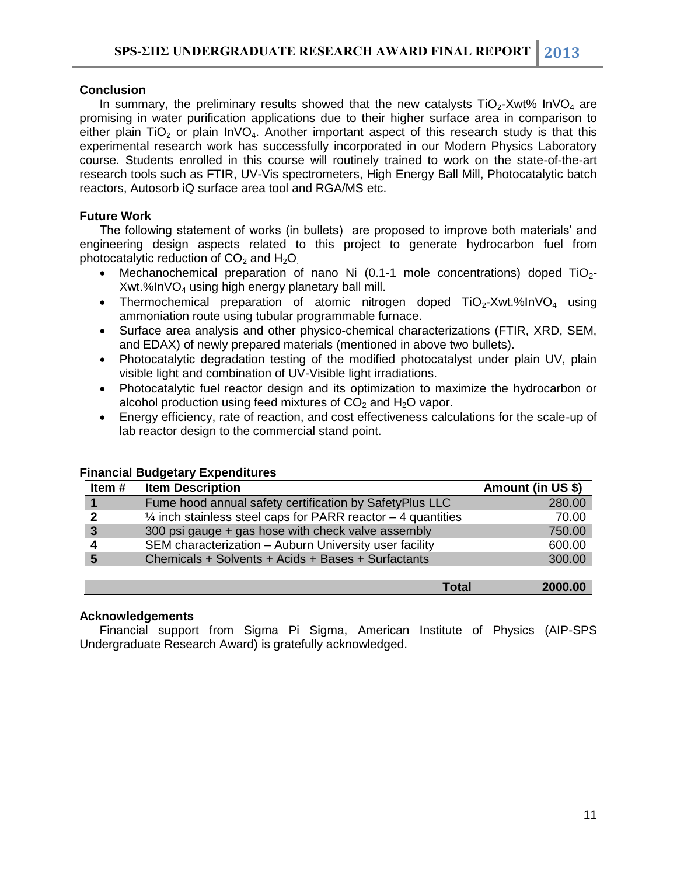# **Conclusion**

In summary, the preliminary results showed that the new catalysts  $TiO<sub>2</sub>-Xwt%$  InVO<sub>4</sub> are promising in water purification applications due to their higher surface area in comparison to either plain  $TiO<sub>2</sub>$  or plain  $InVO<sub>4</sub>$ . Another important aspect of this research study is that this experimental research work has successfully incorporated in our Modern Physics Laboratory course. Students enrolled in this course will routinely trained to work on the state-of-the-art research tools such as FTIR, UV-Vis spectrometers, High Energy Ball Mill, Photocatalytic batch reactors, Autosorb iQ surface area tool and RGA/MS etc.

# **Future Work**

The following statement of works (in bullets) are proposed to improve both materials' and engineering design aspects related to this project to generate hydrocarbon fuel from photocatalytic reduction of  $CO<sub>2</sub>$  and  $H<sub>2</sub>O<sub>1</sub>$ .

- Mechanochemical preparation of nano Ni (0.1-1 mole concentrations) doped  $TiO<sub>2</sub>$ -Xwt.%InVO<sup>4</sup> using high energy planetary ball mill.
- Thermochemical preparation of atomic nitrogen doped  $TiO<sub>2</sub>$ -Xwt.%InVO<sub>4</sub> using ammoniation route using tubular programmable furnace.
- Surface area analysis and other physico-chemical characterizations (FTIR, XRD, SEM, and EDAX) of newly prepared materials (mentioned in above two bullets).
- Photocatalytic degradation testing of the modified photocatalyst under plain UV, plain visible light and combination of UV-Visible light irradiations.
- Photocatalytic fuel reactor design and its optimization to maximize the hydrocarbon or alcohol production using feed mixtures of  $CO<sub>2</sub>$  and  $H<sub>2</sub>O$  vapor.
- Energy efficiency, rate of reaction, and cost effectiveness calculations for the scale-up of lab reactor design to the commercial stand point.

| Item #       | <b>Item Description</b>                                                 | Amount (in US \$) |
|--------------|-------------------------------------------------------------------------|-------------------|
|              | Fume hood annual safety certification by SafetyPlus LLC                 | 280.00            |
| 2            | $\frac{1}{4}$ inch stainless steel caps for PARR reactor – 4 quantities | 70.00             |
| $\mathbf{3}$ | 300 psi gauge + gas hose with check valve assembly                      | 750.00            |
|              | SEM characterization - Auburn University user facility                  | 600.00            |
| 5            | Chemicals + Solvents + Acids + Bases + Surfactants                      | 300.00            |
|              |                                                                         |                   |
|              | Total                                                                   | 2000.00           |

# **Financial Budgetary Expenditures**

### **Acknowledgements**

Financial support from Sigma Pi Sigma, American Institute of Physics (AIP-SPS Undergraduate Research Award) is gratefully acknowledged.